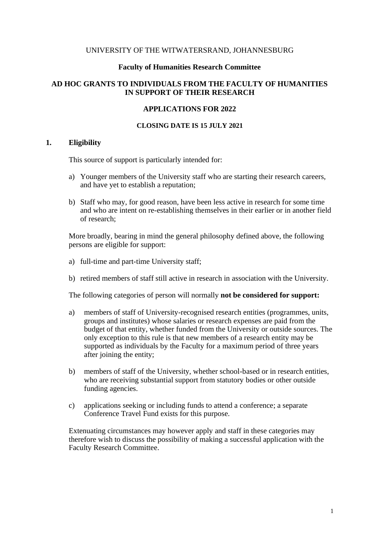### UNIVERSITY OF THE WITWATERSRAND, JOHANNESBURG

### **Faculty of Humanities Research Committee**

## **AD HOC GRANTS TO INDIVIDUALS FROM THE FACULTY OF HUMANITIES IN SUPPORT OF THEIR RESEARCH**

### **APPLICATIONS FOR 2022**

#### **CLOSING DATE IS 15 JULY 2021**

## **1. Eligibility**

This source of support is particularly intended for:

- a) Younger members of the University staff who are starting their research careers, and have yet to establish a reputation;
- b) Staff who may, for good reason, have been less active in research for some time and who are intent on re-establishing themselves in their earlier or in another field of research;

More broadly, bearing in mind the general philosophy defined above, the following persons are eligible for support:

- a) full-time and part-time University staff;
- b) retired members of staff still active in research in association with the University.

The following categories of person will normally **not be considered for support:**

- a) members of staff of University-recognised research entities (programmes, units, groups and institutes) whose salaries or research expenses are paid from the budget of that entity, whether funded from the University or outside sources. The only exception to this rule is that new members of a research entity may be supported as individuals by the Faculty for a maximum period of three years after joining the entity;
- b) members of staff of the University, whether school-based or in research entities, who are receiving substantial support from statutory bodies or other outside funding agencies.
- c) applications seeking or including funds to attend a conference; a separate Conference Travel Fund exists for this purpose.

Extenuating circumstances may however apply and staff in these categories may therefore wish to discuss the possibility of making a successful application with the Faculty Research Committee.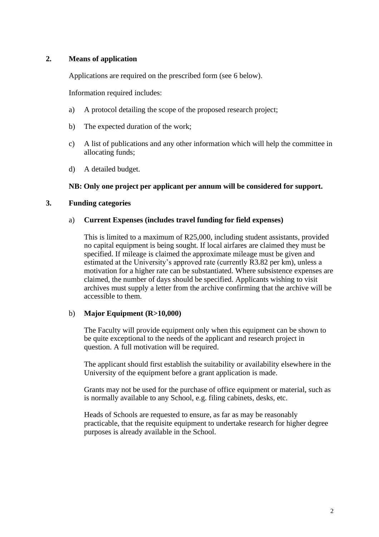# **2. Means of application**

Applications are required on the prescribed form (see 6 below).

Information required includes:

- a) A protocol detailing the scope of the proposed research project;
- b) The expected duration of the work;
- c) A list of publications and any other information which will help the committee in allocating funds;
- d) A detailed budget.

## **NB: Only one project per applicant per annum will be considered for support.**

### **3. Funding categories**

### a) **Current Expenses (includes travel funding for field expenses)**

This is limited to a maximum of R25,000, including student assistants, provided no capital equipment is being sought. If local airfares are claimed they must be specified. If mileage is claimed the approximate mileage must be given and estimated at the University's approved rate (currently R3.82 per km), unless a motivation for a higher rate can be substantiated. Where subsistence expenses are claimed, the number of days should be specified. Applicants wishing to visit archives must supply a letter from the archive confirming that the archive will be accessible to them.

#### b) **Major Equipment (R>10,000)**

The Faculty will provide equipment only when this equipment can be shown to be quite exceptional to the needs of the applicant and research project in question. A full motivation will be required.

The applicant should first establish the suitability or availability elsewhere in the University of the equipment before a grant application is made.

Grants may not be used for the purchase of office equipment or material, such as is normally available to any School, e.g. filing cabinets, desks, etc.

Heads of Schools are requested to ensure, as far as may be reasonably practicable, that the requisite equipment to undertake research for higher degree purposes is already available in the School.